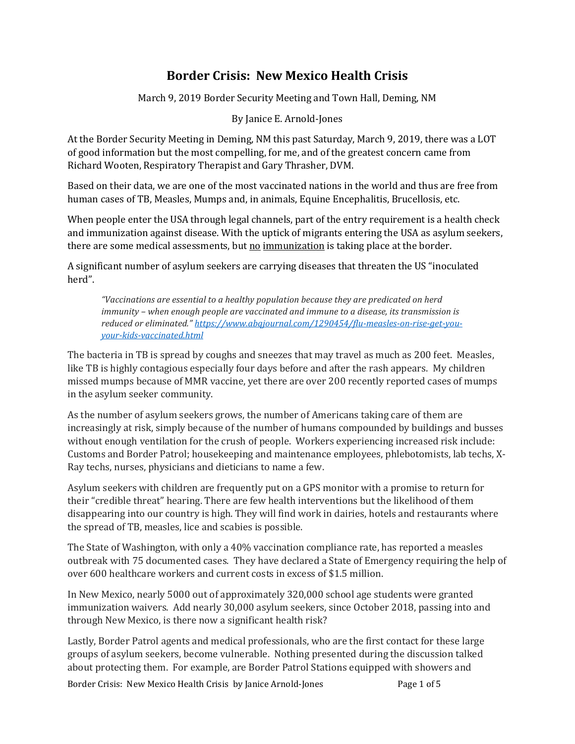## **Border Crisis: New Mexico Health Crisis**

March 9, 2019 Border Security Meeting and Town Hall, Deming, NM

By Janice E. Arnold-Jones

At the Border Security Meeting in Deming, NM this past Saturday, March 9, 2019, there was a LOT of good information but the most compelling, for me, and of the greatest concern came from Richard Wooten, Respiratory Therapist and Gary Thrasher, DVM.

Based on their data, we are one of the most vaccinated nations in the world and thus are free from human cases of TB, Measles, Mumps and, in animals, Equine Encephalitis, Brucellosis, etc.

When people enter the USA through legal channels, part of the entry requirement is a health check and immunization against disease. With the uptick of migrants entering the USA as asylum seekers, there are some medical assessments, but no immunization is taking place at the border.

A significant number of asylum seekers are carrying diseases that threaten the US "inoculated herd".

*"Vaccinations are essential to a healthy population because they are predicated on herd immunity – when enough people are vaccinated and immune to a disease, its transmission is reduced or eliminated.[" https://www.abqjournal.com/1290454/flu-measles-on-rise-get-you](https://www.abqjournal.com/1290454/flu-measles-on-rise-get-you-your-kids-vaccinated.html)[your-kids-vaccinated.html](https://www.abqjournal.com/1290454/flu-measles-on-rise-get-you-your-kids-vaccinated.html)*

The bacteria in TB is spread by coughs and sneezes that may travel as much as 200 feet. Measles, like TB is highly contagious especially four days before and after the rash appears. My children missed mumps because of MMR vaccine, yet there are over 200 recently reported cases of mumps in the asylum seeker community.

As the number of asylum seekers grows, the number of Americans taking care of them are increasingly at risk, simply because of the number of humans compounded by buildings and busses without enough ventilation for the crush of people. Workers experiencing increased risk include: Customs and Border Patrol; housekeeping and maintenance employees, phlebotomists, lab techs, X-Ray techs, nurses, physicians and dieticians to name a few.

Asylum seekers with children are frequently put on a GPS monitor with a promise to return for their "credible threat" hearing. There are few health interventions but the likelihood of them disappearing into our country is high. They will find work in dairies, hotels and restaurants where the spread of TB, measles, lice and scabies is possible.

The State of Washington, with only a 40% vaccination compliance rate, has reported a measles outbreak with 75 documented cases. They have declared a State of Emergency requiring the help of over 600 healthcare workers and current costs in excess of \$1.5 million.

In New Mexico, nearly 5000 out of approximately 320,000 school age students were granted immunization waivers. Add nearly 30,000 asylum seekers, since October 2018, passing into and through New Mexico, is there now a significant health risk?

Lastly, Border Patrol agents and medical professionals, who are the first contact for these large groups of asylum seekers, become vulnerable. Nothing presented during the discussion talked about protecting them. For example, are Border Patrol Stations equipped with showers and

Border Crisis: New Mexico Health Crisis by Janice Arnold-Jones Page 1 of 5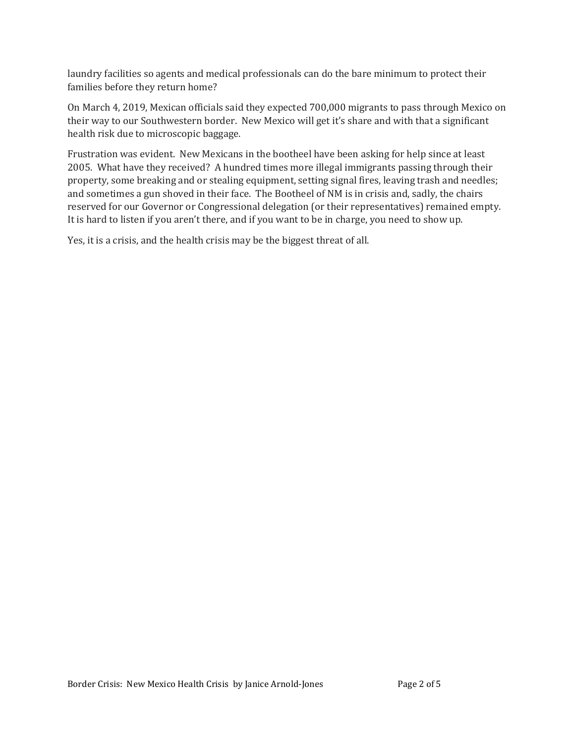laundry facilities so agents and medical professionals can do the bare minimum to protect their families before they return home?

On March 4, 2019, Mexican officials said they expected 700,000 migrants to pass through Mexico on their way to our Southwestern border. New Mexico will get it's share and with that a significant health risk due to microscopic baggage.

Frustration was evident. New Mexicans in the bootheel have been asking for help since at least 2005. What have they received? A hundred times more illegal immigrants passing through their property, some breaking and or stealing equipment, setting signal fires, leaving trash and needles; and sometimes a gun shoved in their face. The Bootheel of NM is in crisis and, sadly, the chairs reserved for our Governor or Congressional delegation (or their representatives) remained empty. It is hard to listen if you aren't there, and if you want to be in charge, you need to show up.

Yes, it is a crisis, and the health crisis may be the biggest threat of all.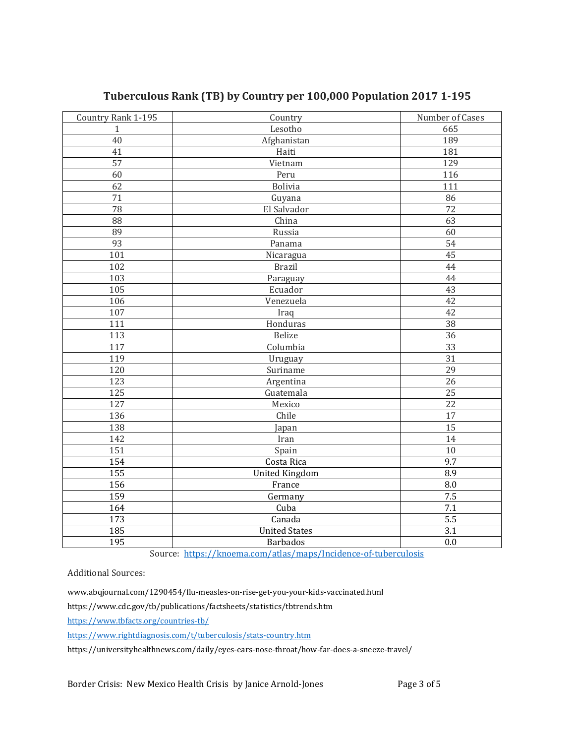| Country Rank 1-195 | Country               | Number of Cases  |
|--------------------|-----------------------|------------------|
| $\mathbf{1}$       | Lesotho               | 665              |
| 40                 | Afghanistan           | 189              |
| 41                 | Haiti                 | 181              |
| $\overline{57}$    | Vietnam               | 129              |
| 60                 | Peru                  | 116              |
| 62                 | <b>Bolivia</b>        | 111              |
| 71                 | Guyana                | 86               |
| 78                 | El Salvador           | 72               |
| 88                 | China                 | 63               |
| 89                 | Russia                | 60               |
| 93                 | Panama                | 54               |
| 101                | Nicaragua             | 45               |
| 102                | <b>Brazil</b>         | 44               |
| 103                | Paraguay              | 44               |
| 105                | Ecuador               | 43               |
| 106                | Venezuela             | 42               |
| 107                | Iraq                  | 42               |
| 111                | Honduras              | 38               |
| 113                | Belize                | 36               |
| 117                | Columbia              | 33               |
| 119                | Uruguay               | 31               |
| 120                | Suriname              | 29               |
| 123                | Argentina             | 26               |
| 125                | Guatemala             | $\overline{25}$  |
| 127                | Mexico                | 22               |
| 136                | Chile                 | 17               |
| 138                | Japan                 | 15               |
| 142                | Iran                  | 14               |
| 151                | Spain                 | 10               |
| 154                | Costa Rica            | 9.7              |
| 155                | <b>United Kingdom</b> | 8.9              |
| 156                | France                | 8.0              |
| 159                | Germany               | 7.5              |
| 164                | Cuba                  | 7.1              |
| 173                | Canada                | $\overline{5.5}$ |
| 185                | <b>United States</b>  | 3.1              |
| 195                | <b>Barbados</b>       | 0.0              |

## **Tuberculous Rank (TB) by Country per 100,000 Population 2017 1-195**

Source: <https://knoema.com/atlas/maps/Incidence-of-tuberculosis>

Additional Sources:

www.abqjournal.com/1290454/flu-measles-on-rise-get-you-your-kids-vaccinated.html

https://www.cdc.gov/tb/publications/factsheets/statistics/tbtrends.htm

<https://www.tbfacts.org/countries-tb/>

<https://www.rightdiagnosis.com/t/tuberculosis/stats-country.htm>

https://universityhealthnews.com/daily/eyes-ears-nose-throat/how-far-does-a-sneeze-travel/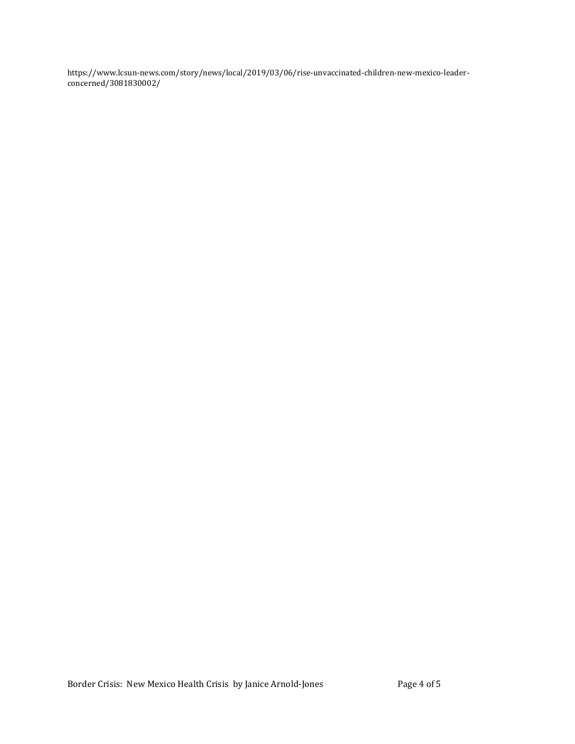https://www.lcsun-news.com/story/news/local/2019/03/06/rise-unvaccinated-children-new-mexico-leaderconcerned/3081830002/